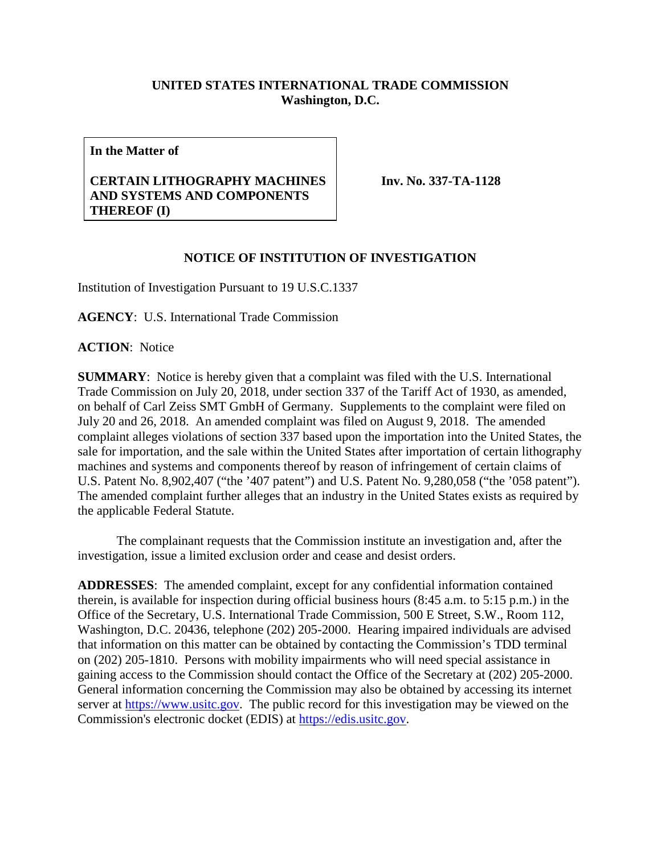## **UNITED STATES INTERNATIONAL TRADE COMMISSION Washington, D.C.**

**In the Matter of**

## **CERTAIN LITHOGRAPHY MACHINES AND SYSTEMS AND COMPONENTS THEREOF (I)**

**Inv. No. 337-TA-1128**

## **NOTICE OF INSTITUTION OF INVESTIGATION**

Institution of Investigation Pursuant to 19 U.S.C.1337

**AGENCY**: U.S. International Trade Commission

**ACTION**: Notice

**SUMMARY**: Notice is hereby given that a complaint was filed with the U.S. International Trade Commission on July 20, 2018, under section 337 of the Tariff Act of 1930, as amended, on behalf of Carl Zeiss SMT GmbH of Germany. Supplements to the complaint were filed on July 20 and 26, 2018. An amended complaint was filed on August 9, 2018. The amended complaint alleges violations of section 337 based upon the importation into the United States, the sale for importation, and the sale within the United States after importation of certain lithography machines and systems and components thereof by reason of infringement of certain claims of U.S. Patent No. 8,902,407 ("the '407 patent") and U.S. Patent No. 9,280,058 ("the '058 patent"). The amended complaint further alleges that an industry in the United States exists as required by the applicable Federal Statute.

The complainant requests that the Commission institute an investigation and, after the investigation, issue a limited exclusion order and cease and desist orders.

**ADDRESSES**: The amended complaint, except for any confidential information contained therein, is available for inspection during official business hours (8:45 a.m. to 5:15 p.m.) in the Office of the Secretary, U.S. International Trade Commission, 500 E Street, S.W., Room 112, Washington, D.C. 20436, telephone (202) 205-2000. Hearing impaired individuals are advised that information on this matter can be obtained by contacting the Commission's TDD terminal on (202) 205-1810. Persons with mobility impairments who will need special assistance in gaining access to the Commission should contact the Office of the Secretary at (202) 205-2000. General information concerning the Commission may also be obtained by accessing its internet server at [https://www.usitc.gov.](https://www.usitc.gov/) The public record for this investigation may be viewed on the Commission's electronic docket (EDIS) at [https://edis.usitc.gov.](https://edis.usitc.gov/)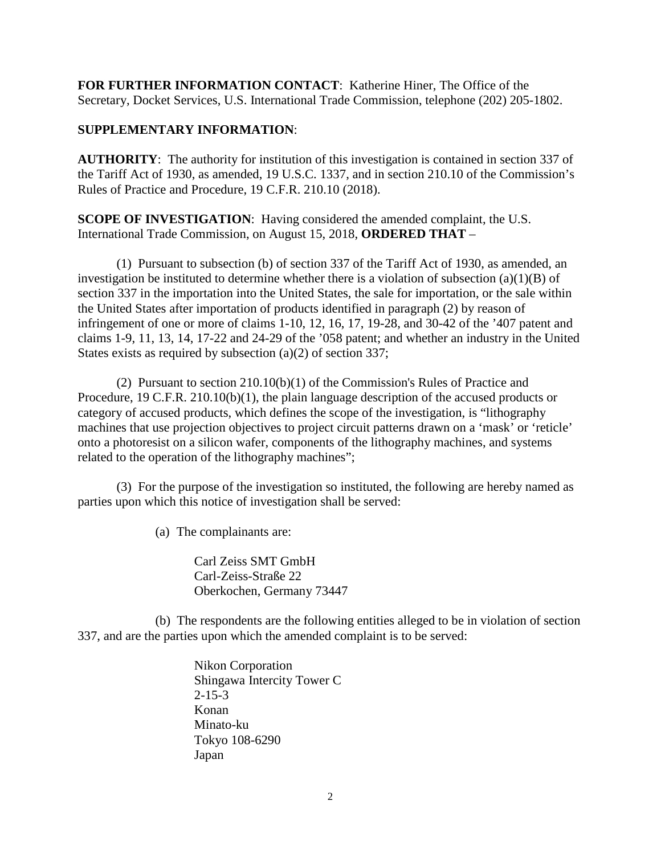**FOR FURTHER INFORMATION CONTACT**: Katherine Hiner, The Office of the Secretary, Docket Services, U.S. International Trade Commission, telephone (202) 205-1802.

## **SUPPLEMENTARY INFORMATION**:

**AUTHORITY**: The authority for institution of this investigation is contained in section 337 of the Tariff Act of 1930, as amended, 19 U.S.C. 1337, and in section 210.10 of the Commission's Rules of Practice and Procedure, 19 C.F.R. 210.10 (2018).

**SCOPE OF INVESTIGATION:** Having considered the amended complaint, the U.S. International Trade Commission, on August 15, 2018, **ORDERED THAT** –

(1) Pursuant to subsection (b) of section 337 of the Tariff Act of 1930, as amended, an investigation be instituted to determine whether there is a violation of subsection (a)(1)(B) of section 337 in the importation into the United States, the sale for importation, or the sale within the United States after importation of products identified in paragraph (2) by reason of infringement of one or more of claims 1-10, 12, 16, 17, 19-28, and 30-42 of the '407 patent and claims 1-9, 11, 13, 14, 17-22 and 24-29 of the '058 patent; and whether an industry in the United States exists as required by subsection (a)(2) of section 337;

(2) Pursuant to section 210.10(b)(1) of the Commission's Rules of Practice and Procedure, 19 C.F.R. 210.10(b)(1), the plain language description of the accused products or category of accused products, which defines the scope of the investigation, is "lithography machines that use projection objectives to project circuit patterns drawn on a 'mask' or 'reticle' onto a photoresist on a silicon wafer, components of the lithography machines, and systems related to the operation of the lithography machines";

(3) For the purpose of the investigation so instituted, the following are hereby named as parties upon which this notice of investigation shall be served:

(a) The complainants are:

Carl Zeiss SMT GmbH Carl-Zeiss-Straße 22 Oberkochen, Germany 73447

(b) The respondents are the following entities alleged to be in violation of section 337, and are the parties upon which the amended complaint is to be served:

> Nikon Corporation Shingawa Intercity Tower C 2-15-3 Konan Minato-ku Tokyo 108-6290 Japan